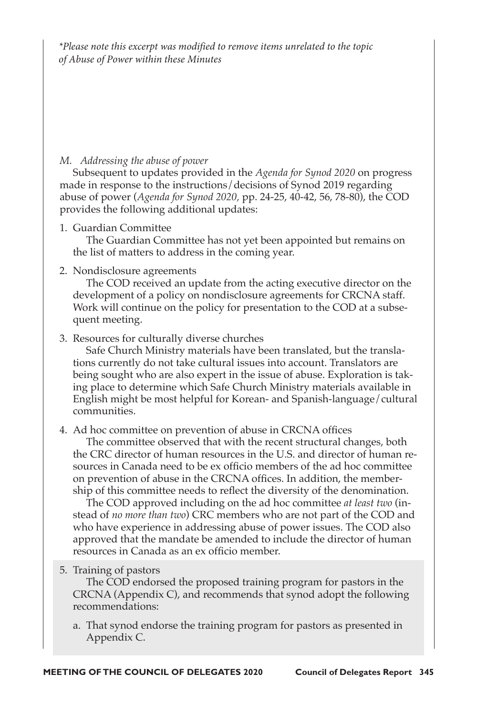*\*Please note this excerpt was modified to remove items unrelated to the topic of Abuse of Power within these Minutes*

## *M. Addressing the abuse of power*

Subsequent to updates provided in the *Agenda for Synod 2020* on progress made in response to the instructions/decisions of Synod 2019 regarding abuse of power (*Agenda for Synod 2020,* pp. 24-25, 40-42, 56, 78-80), the COD provides the following additional updates:

1. Guardian Committee

The Guardian Committee has not yet been appointed but remains on the list of matters to address in the coming year.

## 2. Nondisclosure agreements

The COD received an update from the acting executive director on the development of a policy on nondisclosure agreements for CRCNA staff. Work will continue on the policy for presentation to the COD at a subsequent meeting.

## 3. Resources for culturally diverse churches

Safe Church Ministry materials have been translated, but the translations currently do not take cultural issues into account. Translators are being sought who are also expert in the issue of abuse. Exploration is taking place to determine which Safe Church Ministry materials available in English might be most helpful for Korean- and Spanish-language/cultural communities.

## 4. Ad hoc committee on prevention of abuse in CRCNA offices

The committee observed that with the recent structural changes, both the CRC director of human resources in the U.S. and director of human resources in Canada need to be ex officio members of the ad hoc committee on prevention of abuse in the CRCNA offices. In addition, the membership of this committee needs to reflect the diversity of the denomination.

The COD approved including on the ad hoc committee *at least two* (instead of *no more than two*) CRC members who are not part of the COD and who have experience in addressing abuse of power issues. The COD also approved that the mandate be amended to include the director of human resources in Canada as an ex officio member.

5. Training of pastors

The COD endorsed the proposed training program for pastors in the CRCNA (Appendix C), and recommends that synod adopt the following recommendations:

a. That synod endorse the training program for pastors as presented in Appendix C.